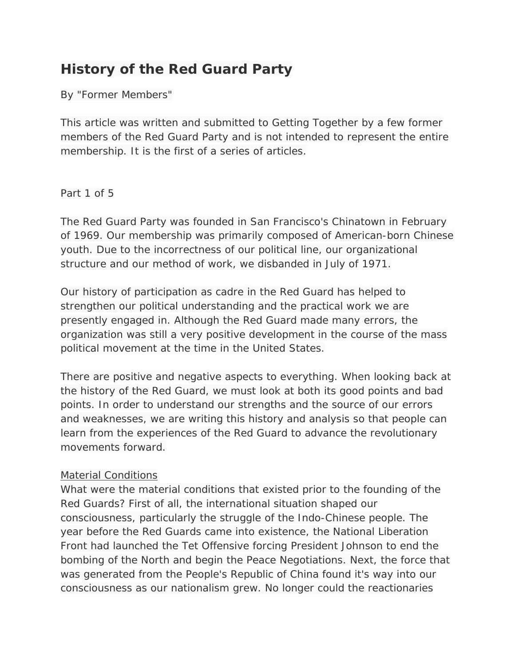# **History of the Red Guard Party**

By "Former Members"

*This article was written and submitted to Getting Together by a few former members of the Red Guard Party and is not intended to represent the entire membership. It is the first of a series of articles.*

Part 1 of 5

The Red Guard Party was founded in San Francisco's Chinatown in February of 1969. Our membership was primarily composed of American-born Chinese youth. Due to the incorrectness of our political line, our organizational structure and our method of work, we disbanded in July of 1971.

Our history of participation as cadre in the Red Guard has helped to strengthen our political understanding and the practical work we are presently engaged in. Although the Red Guard made many errors, the organization was still a very positive development in the course of the mass political movement at the time in the United States.

There are positive and negative aspects to everything. When looking back at the history of the Red Guard, we must look at both its good points and bad points. In order to understand our strengths and the source of our errors and weaknesses, we are writing this history and analysis so that people can learn from the experiences of the Red Guard to advance the revolutionary movements forward.

# Material Conditions

What were the material conditions that existed prior to the founding of the Red Guards? First of all, the international situation shaped our consciousness, particularly the struggle of the Indo-Chinese people. The year before the Red Guards came into existence, the National Liberation Front had launched the Tet Offensive forcing President Johnson to end the bombing of the North and begin the Peace Negotiations. Next, the force that was generated from the People's Republic of China found it's way into our consciousness as our nationalism grew. No longer could the reactionaries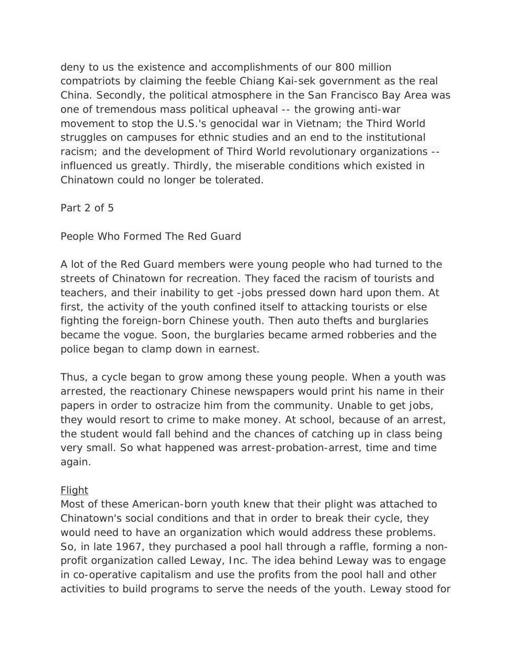deny to us the existence and accomplishments of our 800 million compatriots by claiming the feeble Chiang Kai-sek government as the real China. Secondly, the political atmosphere in the San Francisco Bay Area was one of tremendous mass political upheaval -- the growing anti-war movement to stop the U.S.'s genocidal war in Vietnam; the Third World struggles on campuses for ethnic studies and an end to the institutional racism; and the development of Third World revolutionary organizations - influenced us greatly. Thirdly, the miserable conditions which existed in Chinatown could no longer be tolerated.

Part 2 of 5

People Who Formed The Red Guard

A lot of the Red Guard members were young people who had turned to the streets of Chinatown for recreation. They faced the racism of tourists and teachers, and their inability to get -jobs pressed down hard upon them. At first, the activity of the youth confined itself to attacking tourists or else fighting the foreign-born Chinese youth. Then auto thefts and burglaries became the vogue. Soon, the burglaries became armed robberies and the police began to clamp down in earnest.

Thus, a cycle began to grow among these young people. When a youth was arrested, the reactionary Chinese newspapers would print his name in their papers in order to ostracize him from the community. Unable to get jobs, they would resort to crime to make money. At school, because of an arrest, the student would fall behind and the chances of catching up in class being very small. So what happened was arrest-probation-arrest, time and time again.

# Flight

Most of these American-born youth knew that their plight was attached to Chinatown's social conditions and that in order to break their cycle, they would need to have an organization which would address these problems. So, in late 1967, they purchased a pool hall through a raffle, forming a nonprofit organization called Leway, Inc. The idea behind Leway was to engage in co-operative capitalism and use the profits from the pool hall and other activities to build programs to serve the needs of the youth. Leway stood for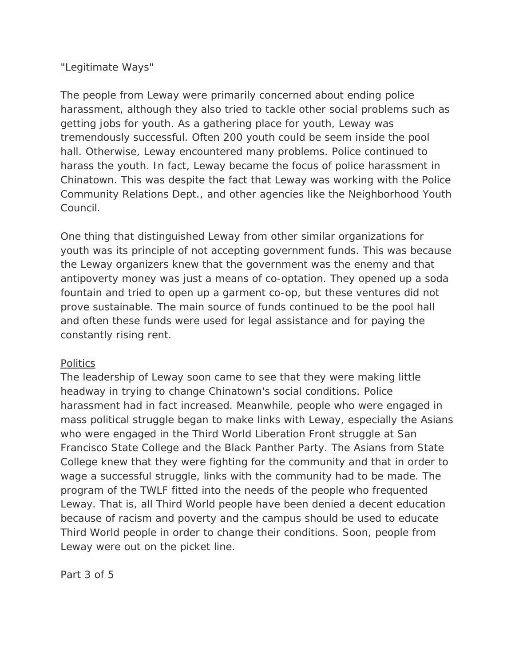## "Legitimate Ways"

The people from Leway were primarily concerned about ending police harassment, although they also tried to tackle other social problems such as getting jobs for youth. As a gathering place for youth, Leway was tremendously successful. Often 200 youth could be seem inside the pool hall. Otherwise, Leway encountered many problems. Police continued to harass the youth. In fact, Leway became the focus of police harassment in Chinatown. This was despite the fact that Leway was working with the Police Community Relations Dept., and other agencies like the Neighborhood Youth Council.

One thing that distinguished Leway from other similar organizations for youth was its principle of not accepting government funds. This was because the Leway organizers knew that the government was the enemy and that antipoverty money was just a means of co-optation. They opened up a soda fountain and tried to open up a garment co-op, but these ventures did not prove sustainable. The main source of funds continued to be the pool hall and often these funds were used for legal assistance and for paying the constantly rising rent.

## Politics

The leadership of Leway soon came to see that they were making little headway in trying to change Chinatown's social conditions. Police harassment had in fact increased. Meanwhile, people who were engaged in mass political struggle began to make links with Leway, especially the Asians who were engaged in the Third World Liberation Front struggle at San Francisco State College and the Black Panther Party. The Asians from State College knew that they were fighting for the community and that in order to wage a successful struggle, links with the community had to be made. The program of the TWLF fitted into the needs of the people who frequented Leway. That is, all Third World people have been denied a decent education because of racism and poverty and the campus should be used to educate Third World people in order to change their conditions. Soon, people from Leway were out on the picket line.

Part 3 of 5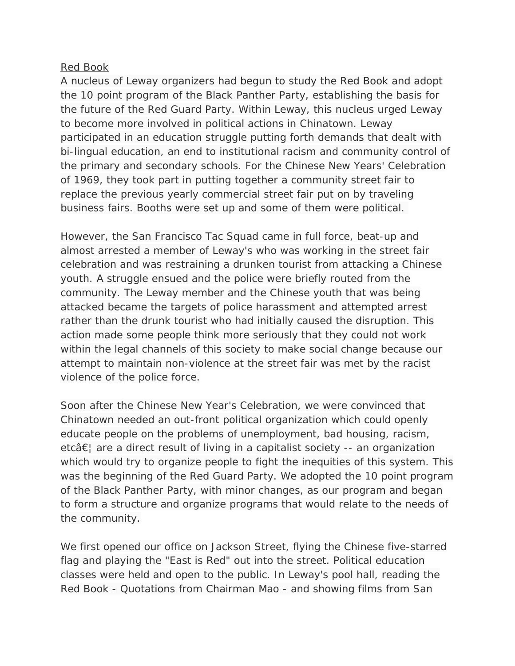## Red Book

A nucleus of Leway organizers had begun to study the Red Book and adopt the 10 point program of the Black Panther Party, establishing the basis for the future of the Red Guard Party. Within Leway, this nucleus urged Leway to become more involved in political actions in Chinatown. Leway participated in an education struggle putting forth demands that dealt with bi-lingual education, an end to institutional racism and community control of the primary and secondary schools. For the Chinese New Years' Celebration of 1969, they took part in putting together a community street fair to replace the previous yearly commercial street fair put on by traveling business fairs. Booths were set up and some of them were political.

However, the San Francisco Tac Squad came in full force, beat-up and almost arrested a member of Leway's who was working in the street fair celebration and was restraining a drunken tourist from attacking a Chinese youth. A struggle ensued and the police were briefly routed from the community. The Leway member and the Chinese youth that was being attacked became the targets of police harassment and attempted arrest rather than the drunk tourist who had initially caused the disruption. This action made some people think more seriously that they could not work within the legal channels of this society to make social change because our attempt to maintain non-violence at the street fair was met by the racist violence of the police force.

Soon after the Chinese New Year's Celebration, we were convinced that Chinatown needed an out-front political organization which could openly educate people on the problems of unemployment, bad housing, racism, etc $\hat{\sigma} \in \mathbb{R}$  are a direct result of living in a capitalist society -- an organization which would try to organize people to fight the inequities of this system. This was the beginning of the Red Guard Party. We adopted the 10 point program of the Black Panther Party, with minor changes, as our program and began to form a structure and organize programs that would relate to the needs of the community.

We first opened our office on Jackson Street, flying the Chinese five-starred flag and playing the "East is Red" out into the street. Political education classes were held and open to the public. In Leway's pool hall, reading the Red Book - Quotations from Chairman Mao - and showing films from San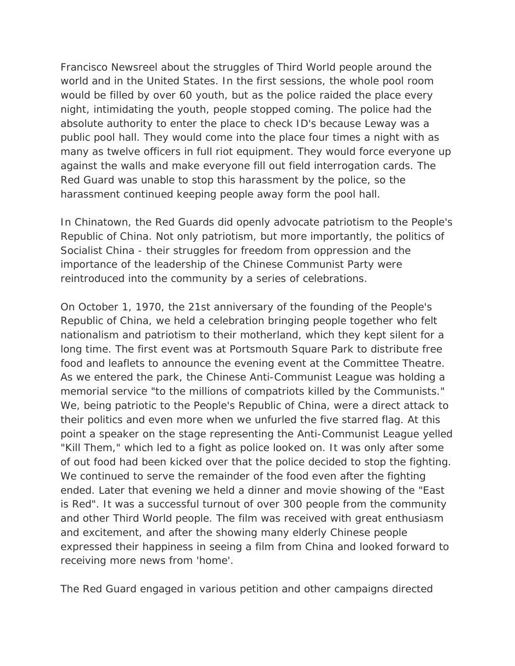Francisco Newsreel about the struggles of Third World people around the world and in the United States. In the first sessions, the whole pool room would be filled by over 60 youth, but as the police raided the place every night, intimidating the youth, people stopped coming. The police had the absolute authority to enter the place to check ID's because Leway was a public pool hall. They would come into the place four times a night with as many as twelve officers in full riot equipment. They would force everyone up against the walls and make everyone fill out field interrogation cards. The Red Guard was unable to stop this harassment by the police, so the harassment continued keeping people away form the pool hall.

In Chinatown, the Red Guards did openly advocate patriotism to the People's Republic of China. Not only patriotism, but more importantly, the politics of Socialist China - their struggles for freedom from oppression and the importance of the leadership of the Chinese Communist Party were reintroduced into the community by a series of celebrations.

On October 1, 1970, the 21st anniversary of the founding of the People's Republic of China, we held a celebration bringing people together who felt nationalism and patriotism to their motherland, which they kept silent for a long time. The first event was at Portsmouth Square Park to distribute free food and leaflets to announce the evening event at the Committee Theatre. As we entered the park, the Chinese Anti-Communist League was holding a memorial service "to the millions of compatriots killed by the Communists." We, being patriotic to the People's Republic of China, were a direct attack to their politics and even more when we unfurled the five starred flag. At this point a speaker on the stage representing the Anti-Communist League yelled "Kill Them," which led to a fight as police looked on. It was only after some of out food had been kicked over that the police decided to stop the fighting. We continued to serve the remainder of the food even after the fighting ended. Later that evening we held a dinner and movie showing of the "East is Red". It was a successful turnout of over 300 people from the community and other Third World people. The film was received with great enthusiasm and excitement, and after the showing many elderly Chinese people expressed their happiness in seeing a film from China and looked forward to receiving more news from 'home'.

The Red Guard engaged in various petition and other campaigns directed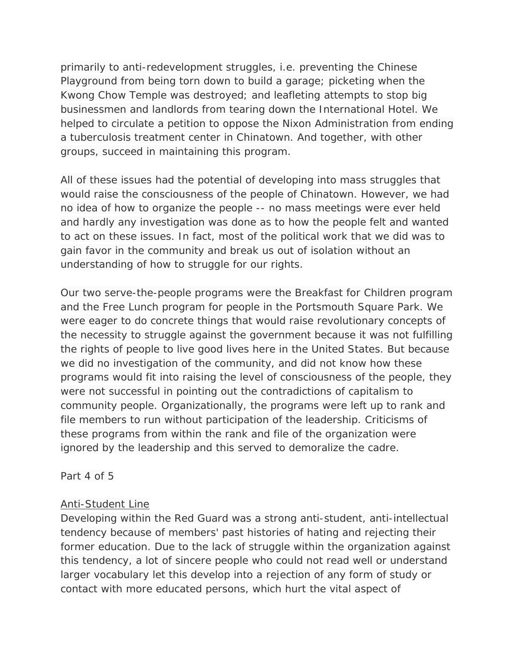primarily to anti-redevelopment struggles, i.e. preventing the Chinese Playground from being torn down to build a garage; picketing when the Kwong Chow Temple was destroyed; and leafleting attempts to stop big businessmen and landlords from tearing down the International Hotel. We helped to circulate a petition to oppose the Nixon Administration from ending a tuberculosis treatment center in Chinatown. And together, with other groups, succeed in maintaining this program.

All of these issues had the potential of developing into mass struggles that would raise the consciousness of the people of Chinatown. However, we had no idea of how to organize the people -- no mass meetings were ever held and hardly any investigation was done as to how the people felt and wanted to act on these issues. In fact, most of the political work that we did was to gain favor in the community and break us out of isolation without an understanding of how to struggle for our rights.

Our two serve-the-people programs were the Breakfast for Children program and the Free Lunch program for people in the Portsmouth Square Park. We were eager to do concrete things that would raise revolutionary concepts of the necessity to struggle against the government because it was not fulfilling the rights of people to live good lives here in the United States. But because we did no investigation of the community, and did not know how these programs would fit into raising the level of consciousness of the people, they were not successful in pointing out the contradictions of capitalism to community people. Organizationally, the programs were left up to rank and file members to run without participation of the leadership. Criticisms of these programs from within the rank and file of the organization were ignored by the leadership and this served to demoralize the cadre.

Part 4 of 5

# Anti-Student Line

Developing within the Red Guard was a strong anti-student, anti-intellectual tendency because of members' past histories of hating and rejecting their former education. Due to the lack of struggle within the organization against this tendency, a lot of sincere people who could not read well or understand larger vocabulary let this develop into a rejection of any form of study or contact with more educated persons, which hurt the vital aspect of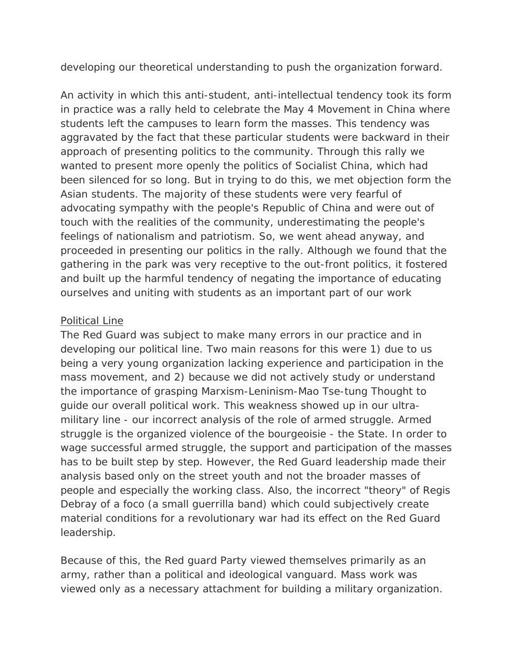developing our theoretical understanding to push the organization forward.

An activity in which this anti-student, anti-intellectual tendency took its form in practice was a rally held to celebrate the May 4 Movement in China where students left the campuses to learn form the masses. This tendency was aggravated by the fact that these particular students were backward in their approach of presenting politics to the community. Through this rally we wanted to present more openly the politics of Socialist China, which had been silenced for so long. But in trying to do this, we met objection form the Asian students. The majority of these students were very fearful of advocating sympathy with the people's Republic of China and were out of touch with the realities of the community, underestimating the people's feelings of nationalism and patriotism. So, we went ahead anyway, and proceeded in presenting our politics in the rally. Although we found that the gathering in the park was very receptive to the out-front politics, it fostered and built up the harmful tendency of negating the importance of educating ourselves and uniting with students as an important part of our work

## Political Line

The Red Guard was subject to make many errors in our practice and in developing our political line. Two main reasons for this were 1) due to us being a very young organization lacking experience and participation in the mass movement, and 2) because we did not actively study or understand the importance of grasping Marxism-Leninism-Mao Tse-tung Thought to guide our overall political work. This weakness showed up in our ultramilitary line - our incorrect analysis of the role of armed struggle. Armed struggle is the organized violence of the bourgeoisie - the State. In order to wage successful armed struggle, the support and participation of the masses has to be built step by step. However, the Red Guard leadership made their analysis based only on the street youth and not the broader masses of people and especially the working class. Also, the incorrect "theory" of Regis Debray of a foco (a small guerrilla band) which could subjectively create material conditions for a revolutionary war had its effect on the Red Guard leadership.

Because of this, the Red guard Party viewed themselves primarily as an army, rather than a political and ideological vanguard. Mass work was viewed only as a necessary attachment for building a military organization.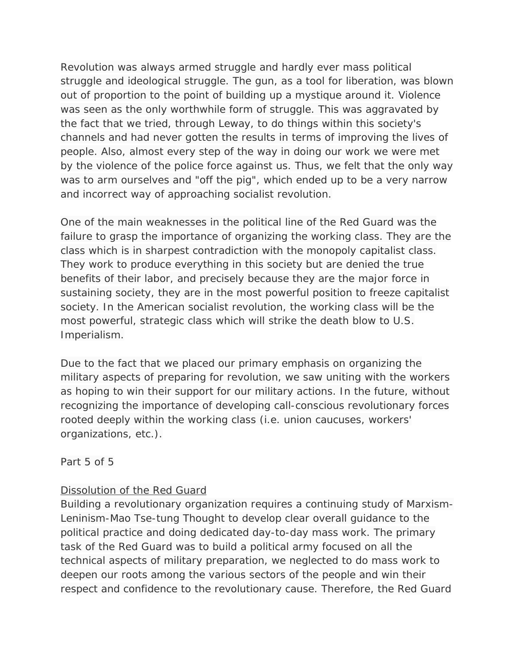Revolution was always armed struggle and hardly ever mass political struggle and ideological struggle. The gun, as a tool for liberation, was blown out of proportion to the point of building up a mystique around it. Violence was seen as the only worthwhile form of struggle. This was aggravated by the fact that we tried, through Leway, to do things within this society's channels and had never gotten the results in terms of improving the lives of people. Also, almost every step of the way in doing our work we were met by the violence of the police force against us. Thus, we felt that the only way was to arm ourselves and "off the pig", which ended up to be a very narrow and incorrect way of approaching socialist revolution.

One of the main weaknesses in the political line of the Red Guard was the failure to grasp the importance of organizing the working class. They are the class which is in sharpest contradiction with the monopoly capitalist class. They work to produce everything in this society but are denied the true benefits of their labor, and precisely because they are the major force in sustaining society, they are in the most powerful position to freeze capitalist society. In the American socialist revolution, the working class will be the most powerful, strategic class which will strike the death blow to U.S. Imperialism.

Due to the fact that we placed our primary emphasis on organizing the military aspects of preparing for revolution, we saw uniting with the workers as hoping to win their support for our military actions. In the future, without recognizing the importance of developing call-conscious revolutionary forces rooted deeply within the working class (i.e. union caucuses, workers' organizations, etc.).

Part 5 of 5

# Dissolution of the Red Guard

Building a revolutionary organization requires a continuing study of Marxism-Leninism-Mao Tse-tung Thought to develop clear overall guidance to the political practice and doing dedicated day-to-day mass work. The primary task of the Red Guard was to build a political army focused on all the technical aspects of military preparation, we neglected to do mass work to deepen our roots among the various sectors of the people and win their respect and confidence to the revolutionary cause. Therefore, the Red Guard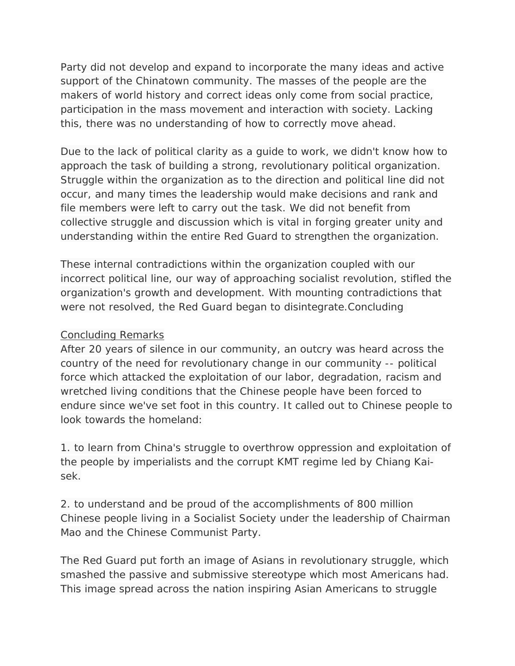Party did not develop and expand to incorporate the many ideas and active support of the Chinatown community. The masses of the people are the makers of world history and correct ideas only come from social practice, participation in the mass movement and interaction with society. Lacking this, there was no understanding of how to correctly move ahead.

Due to the lack of political clarity as a guide to work, we didn't know how to approach the task of building a strong, revolutionary political organization. Struggle within the organization as to the direction and political line did not occur, and many times the leadership would make decisions and rank and file members were left to carry out the task. We did not benefit from collective struggle and discussion which is vital in forging greater unity and understanding within the entire Red Guard to strengthen the organization.

These internal contradictions within the organization coupled with our incorrect political line, our way of approaching socialist revolution, stifled the organization's growth and development. With mounting contradictions that were not resolved, the Red Guard began to disintegrate.Concluding

## Concluding Remarks

After 20 years of silence in our community, an outcry was heard across the country of the need for revolutionary change in our community -- political force which attacked the exploitation of our labor, degradation, racism and wretched living conditions that the Chinese people have been forced to endure since we've set foot in this country. It called out to Chinese people to look towards the homeland:

1. to learn from China's struggle to overthrow oppression and exploitation of the people by imperialists and the corrupt KMT regime led by Chiang Kaisek.

2. to understand and be proud of the accomplishments of 800 million Chinese people living in a Socialist Society under the leadership of Chairman Mao and the Chinese Communist Party.

The Red Guard put forth an image of Asians in revolutionary struggle, which smashed the passive and submissive stereotype which most Americans had. This image spread across the nation inspiring Asian Americans to struggle